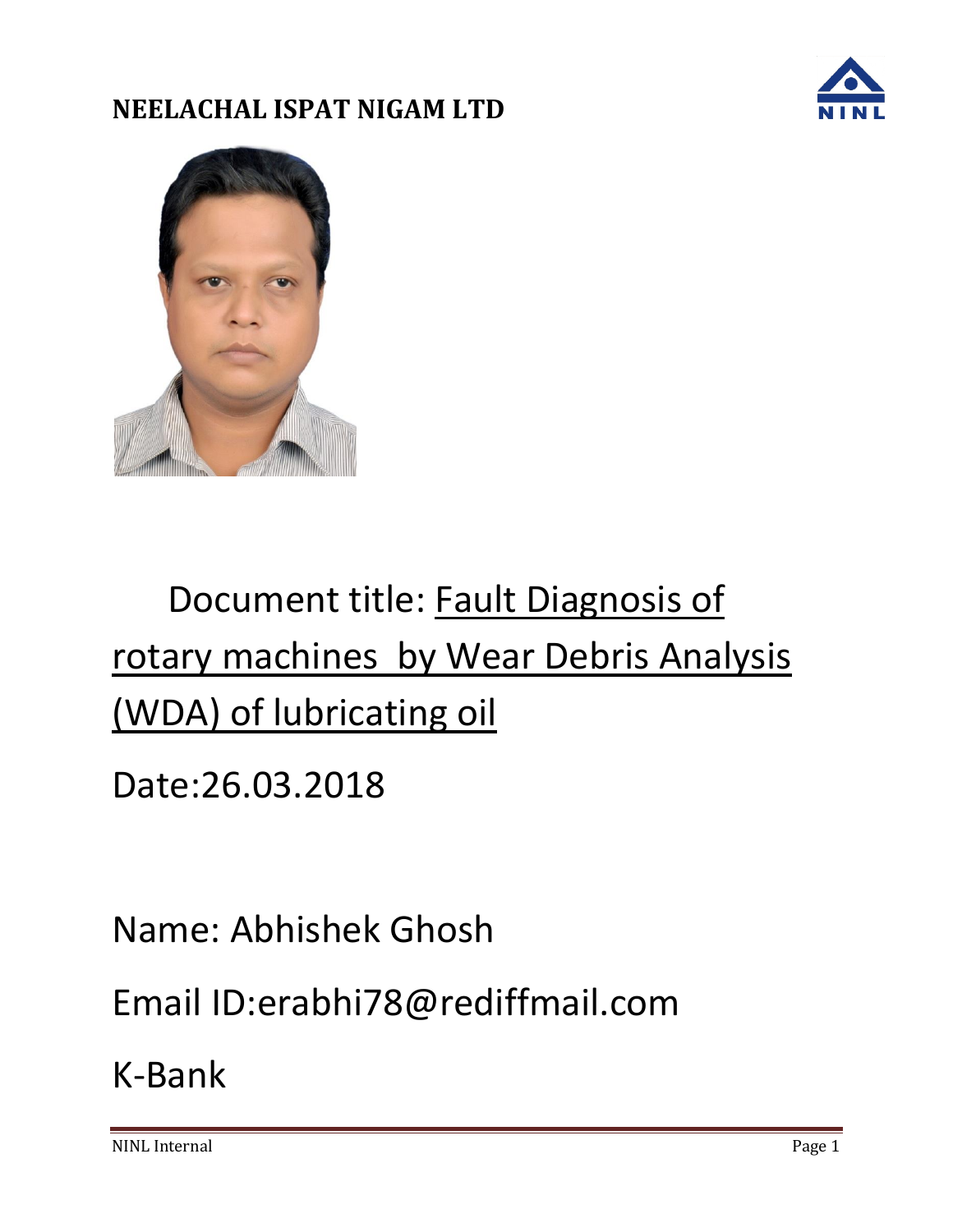



# Document title: Fault Diagnosis of rotary machines by Wear Debris Analysis (WDA) of lubricating oil

Date:26.03.2018

Name: Abhishek Ghosh

Email ID:erabhi78@rediffmail.com

K-Bank

NINL Internal Page 1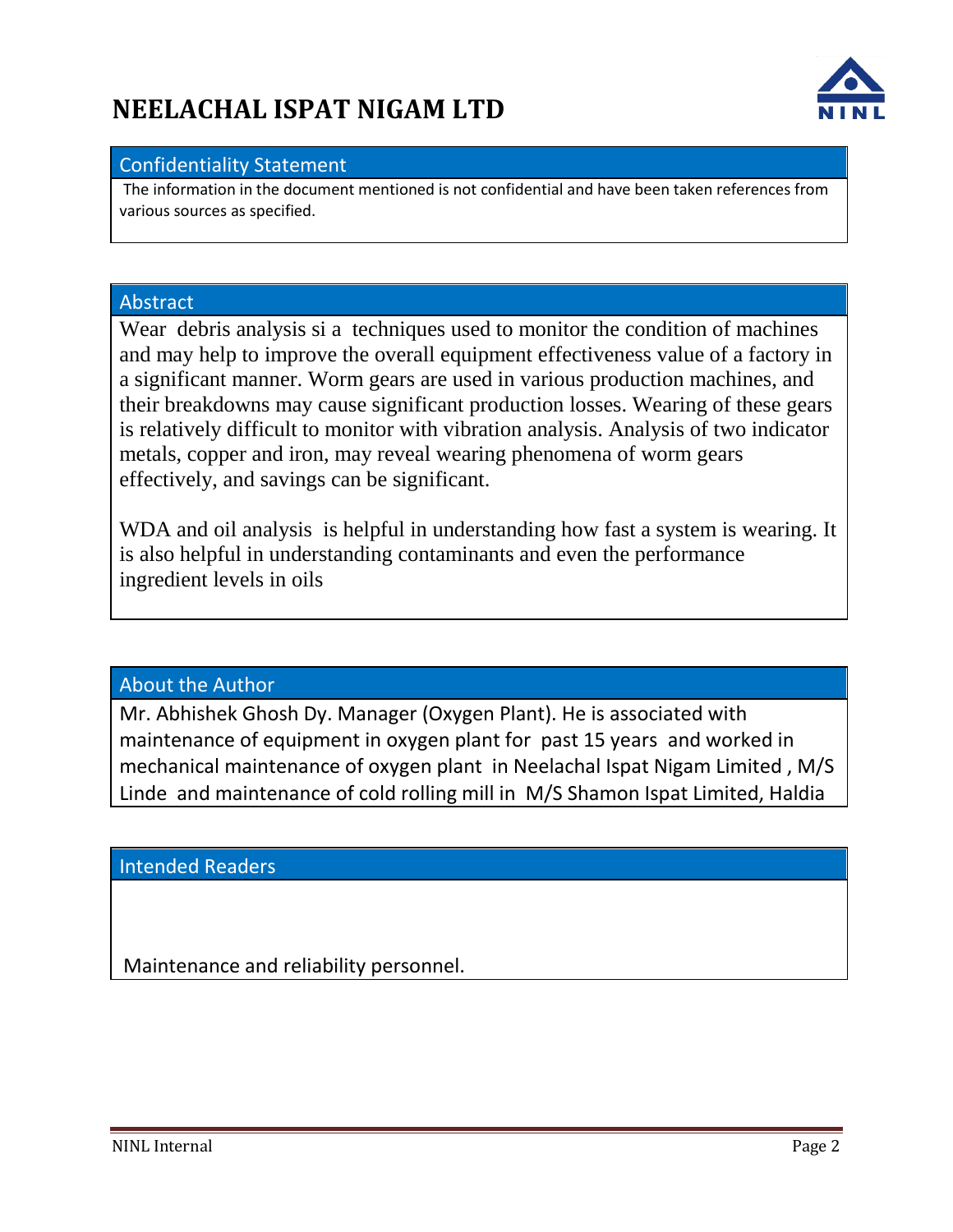

#### Confidentiality Statement

The information in the document mentioned is not confidential and have been taken references from various sources as specified.

#### Abstract

Wear debris analysis si a techniques used to monitor the condition of machines and may help to improve the overall equipment effectiveness value of a factory in a significant manner. Worm gears are used in various production machines, and their breakdowns may cause significant production losses. Wearing of these gears is relatively difficult to monitor with vibration analysis. Analysis of two indicator metals, copper and iron, may reveal wearing phenomena of worm gears effectively, and savings can be significant.

WDA and oil analysis is helpful in understanding how fast a system is wearing. It is also helpful in understanding contaminants and even the performance ingredient levels in oils

#### About the Author

Mr. Abhishek Ghosh Dy. Manager (Oxygen Plant). He is associated with maintenance of equipment in oxygen plant for past 15 years and worked in mechanical maintenance of oxygen plant in Neelachal Ispat Nigam Limited , M/S Linde and maintenance of cold rolling mill in M/S Shamon Ispat Limited, Haldia

Intended Readers

Maintenance and reliability personnel.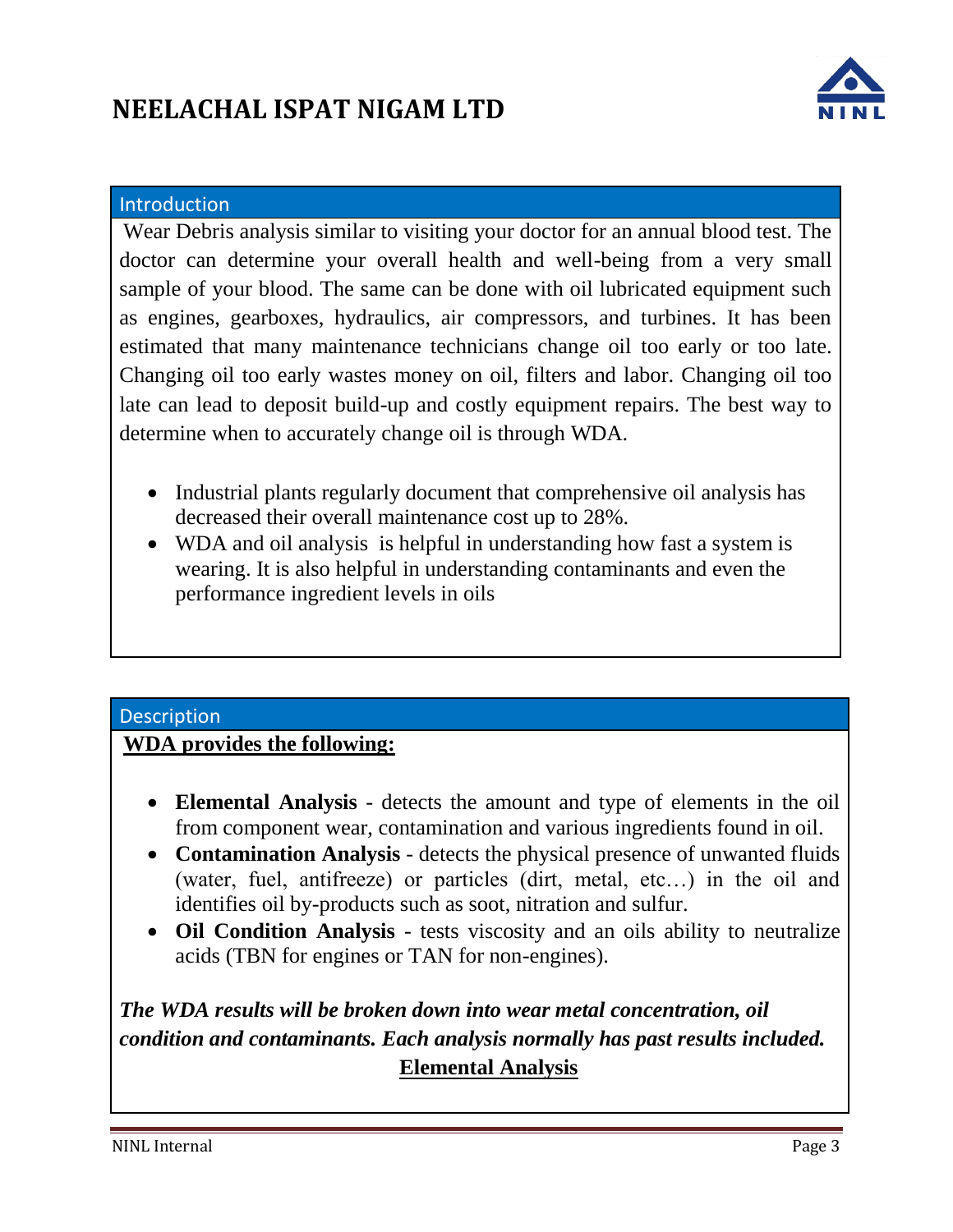

#### **Introduction**

Wear Debris analysis similar to visiting your doctor for an annual blood test. The doctor can determine your overall health and well-being from a very small sample of your blood. The same can be done with oil lubricated equipment such as engines, gearboxes, hydraulics, air compressors, and turbines. It has been estimated that many maintenance technicians change oil too early or too late. Changing oil too early wastes money on oil, filters and labor. Changing oil too late can lead to deposit build-up and costly equipment repairs. The best way to determine when to accurately change oil is through WDA.

- Industrial plants regularly document that comprehensive oil analysis has decreased their overall maintenance cost up to 28%.
- WDA and oil analysis is helpful in understanding how fast a system is wearing. It is also helpful in understanding contaminants and even the performance ingredient levels in oils

#### **Description**

#### **WDA provides the following:**

- **Elemental Analysis** detects the amount and type of elements in the oil from component wear, contamination and various ingredients found in oil.
- **Contamination Analysis** detects the physical presence of unwanted fluids (water, fuel, antifreeze) or particles (dirt, metal, etc…) in the oil and identifies oil by-products such as soot, nitration and sulfur.
- **Oil Condition Analysis** tests viscosity and an oils ability to neutralize acids (TBN for engines or TAN for non-engines).

### *The WDA results will be broken down into wear metal concentration, oil condition and contaminants. Each analysis normally has past results included.* **Elemental Analysis**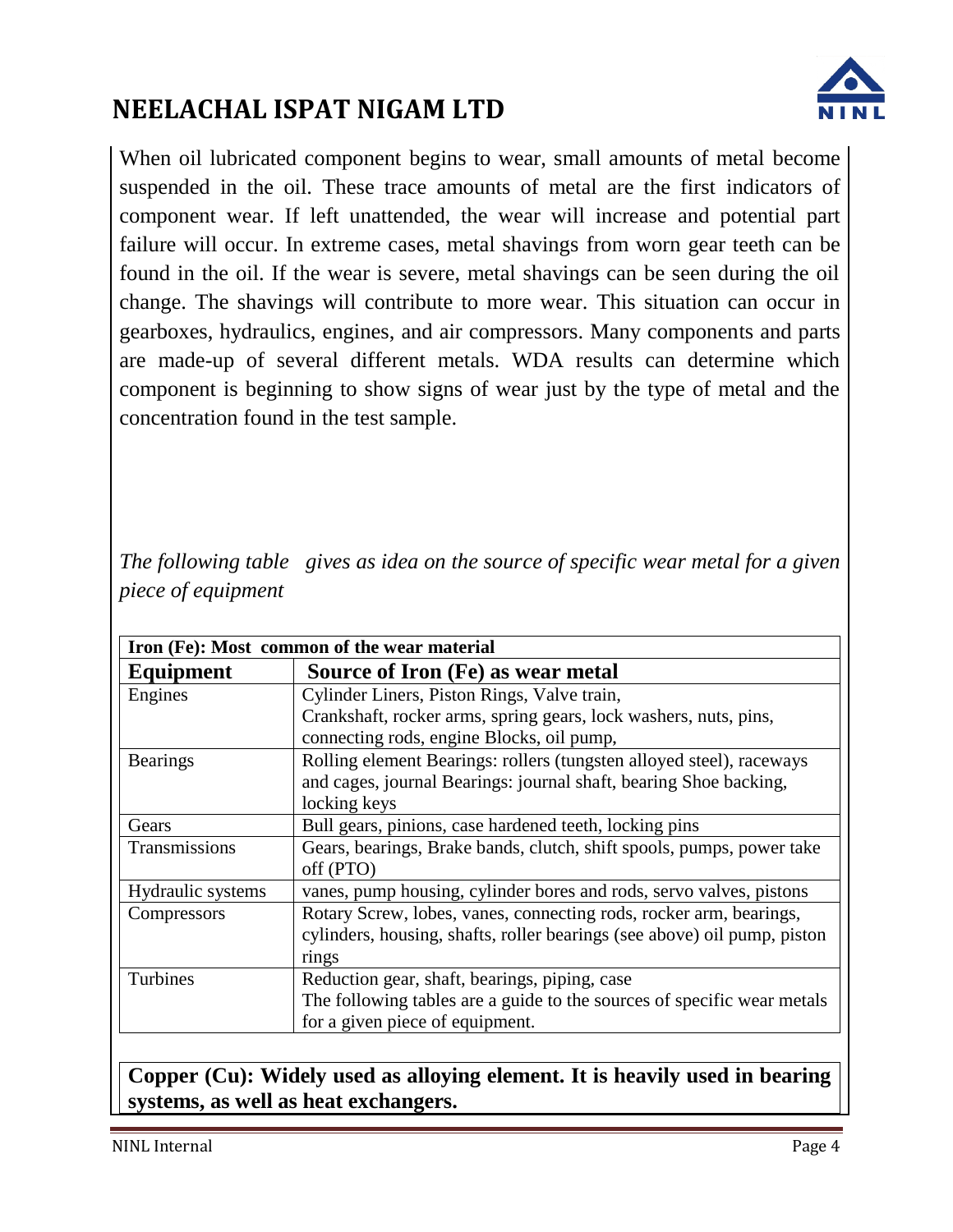

When oil lubricated component begins to wear, small amounts of metal become suspended in the oil. These trace amounts of metal are the first indicators of component wear. If left unattended, the wear will increase and potential part failure will occur. In extreme cases, metal shavings from worn gear teeth can be found in the oil. If the wear is severe, metal shavings can be seen during the oil change. The shavings will contribute to more wear. This situation can occur in gearboxes, hydraulics, engines, and air compressors. Many components and parts are made-up of several different metals. WDA results can determine which component is beginning to show signs of wear just by the type of metal and the concentration found in the test sample.

*The following table gives as idea on the source of specific wear metal for a given piece of equipment*

| Iron (Fe): Most common of the wear material |                                                                          |  |  |  |
|---------------------------------------------|--------------------------------------------------------------------------|--|--|--|
| Equipment                                   | Source of Iron (Fe) as wear metal                                        |  |  |  |
| Engines                                     | Cylinder Liners, Piston Rings, Valve train,                              |  |  |  |
|                                             | Crankshaft, rocker arms, spring gears, lock washers, nuts, pins,         |  |  |  |
|                                             | connecting rods, engine Blocks, oil pump,                                |  |  |  |
| <b>Bearings</b>                             | Rolling element Bearings: rollers (tungsten alloyed steel), raceways     |  |  |  |
|                                             | and cages, journal Bearings: journal shaft, bearing Shoe backing,        |  |  |  |
|                                             | locking keys                                                             |  |  |  |
| Gears                                       | Bull gears, pinions, case hardened teeth, locking pins                   |  |  |  |
| Transmissions                               | Gears, bearings, Brake bands, clutch, shift spools, pumps, power take    |  |  |  |
|                                             | off (PTO)                                                                |  |  |  |
| Hydraulic systems                           | vanes, pump housing, cylinder bores and rods, servo valves, pistons      |  |  |  |
| Compressors                                 | Rotary Screw, lobes, vanes, connecting rods, rocker arm, bearings,       |  |  |  |
|                                             | cylinders, housing, shafts, roller bearings (see above) oil pump, piston |  |  |  |
|                                             | rings                                                                    |  |  |  |
| Turbines                                    | Reduction gear, shaft, bearings, piping, case                            |  |  |  |
|                                             | The following tables are a guide to the sources of specific wear metals  |  |  |  |
|                                             | for a given piece of equipment.                                          |  |  |  |

**Copper (Cu): Widely used as alloying element. It is heavily used in bearing systems, as well as heat exchangers.**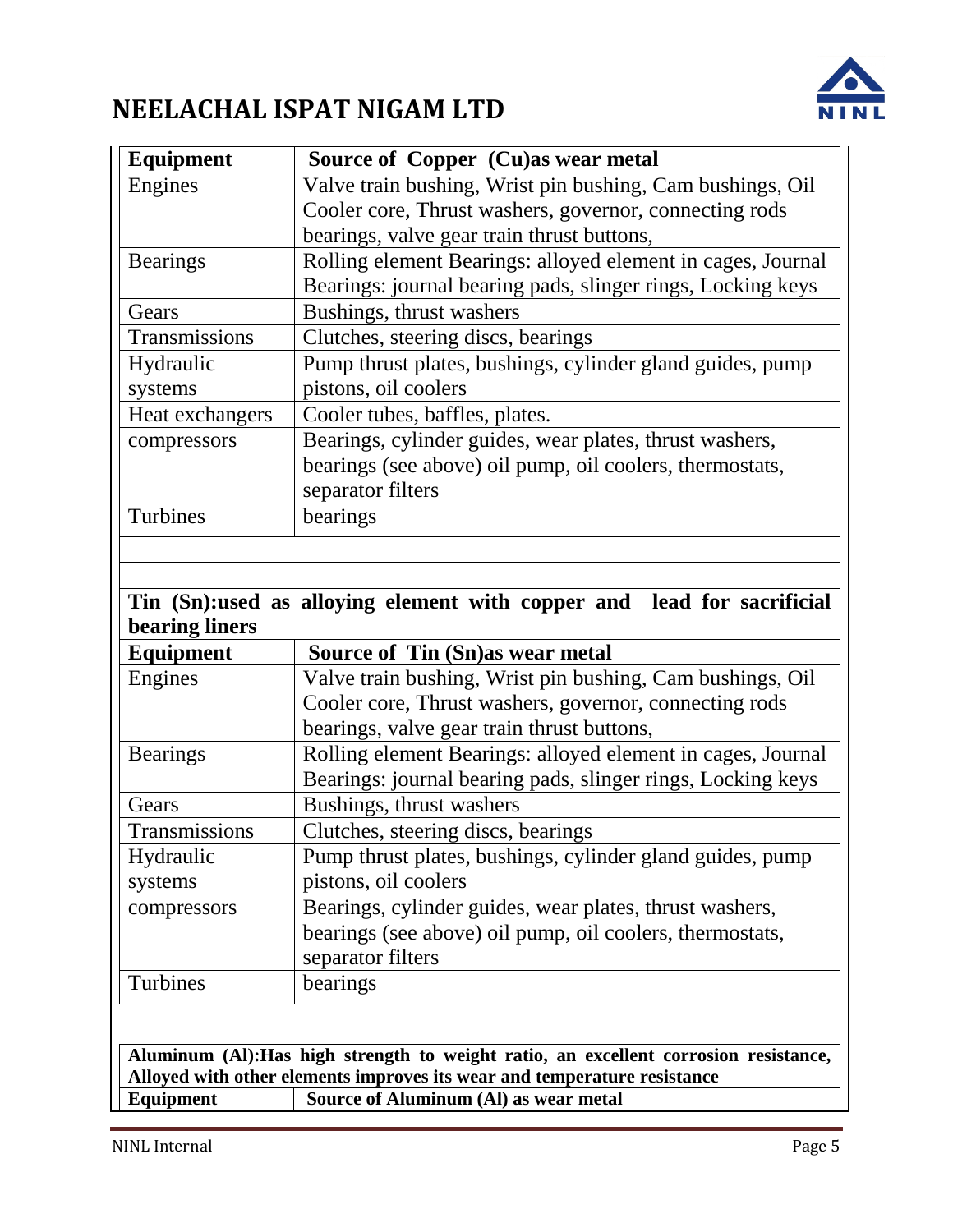

| <b>Equipment</b> | Source of Copper (Cu)as wear metal                                                                                         |  |  |  |
|------------------|----------------------------------------------------------------------------------------------------------------------------|--|--|--|
| Engines          | Valve train bushing, Wrist pin bushing, Cam bushings, Oil                                                                  |  |  |  |
|                  | Cooler core, Thrust washers, governor, connecting rods                                                                     |  |  |  |
|                  | bearings, valve gear train thrust buttons,                                                                                 |  |  |  |
| <b>Bearings</b>  | Rolling element Bearings: alloyed element in cages, Journal<br>Bearings: journal bearing pads, slinger rings, Locking keys |  |  |  |
| Gears            | Bushings, thrust washers                                                                                                   |  |  |  |
| Transmissions    | Clutches, steering discs, bearings                                                                                         |  |  |  |
| Hydraulic        | Pump thrust plates, bushings, cylinder gland guides, pump                                                                  |  |  |  |
| systems          | pistons, oil coolers                                                                                                       |  |  |  |
| Heat exchangers  | Cooler tubes, baffles, plates.                                                                                             |  |  |  |
| compressors      | Bearings, cylinder guides, wear plates, thrust washers,                                                                    |  |  |  |
|                  | bearings (see above) oil pump, oil coolers, thermostats,                                                                   |  |  |  |
|                  | separator filters                                                                                                          |  |  |  |
| Turbines         | bearings                                                                                                                   |  |  |  |
|                  |                                                                                                                            |  |  |  |
|                  |                                                                                                                            |  |  |  |
|                  | Tin (Sn):used as alloying element with copper and lead for sacrificial                                                     |  |  |  |
| bearing liners   |                                                                                                                            |  |  |  |
| <b>Equipment</b> | Source of Tin (Sn) as wear metal                                                                                           |  |  |  |
| Engines          | Valve train bushing, Wrist pin bushing, Cam bushings, Oil                                                                  |  |  |  |
|                  | Cooler core, Thrust washers, governor, connecting rods                                                                     |  |  |  |
|                  | bearings, valve gear train thrust buttons,                                                                                 |  |  |  |
| <b>Bearings</b>  | Rolling element Bearings: alloyed element in cages, Journal                                                                |  |  |  |
|                  | Bearings: journal bearing pads, slinger rings, Locking keys                                                                |  |  |  |
| Gears            | Bushings, thrust washers                                                                                                   |  |  |  |
| Transmissions    | Clutches, steering discs, bearings                                                                                         |  |  |  |
| Hydraulic        | Pump thrust plates, bushings, cylinder gland guides, pump                                                                  |  |  |  |
| systems          | pistons, oil coolers                                                                                                       |  |  |  |
| compressors      | Bearings, cylinder guides, wear plates, thrust washers,                                                                    |  |  |  |
|                  | bearings (see above) oil pump, oil coolers, thermostats,                                                                   |  |  |  |
|                  |                                                                                                                            |  |  |  |
|                  | separator filters                                                                                                          |  |  |  |
| Turbines         | bearings                                                                                                                   |  |  |  |
|                  |                                                                                                                            |  |  |  |
|                  | Aluminum (Al): Has high strength to weight ratio, an excellent corrosion resistance,                                       |  |  |  |

**Alloyed with other elements improves its wear and temperature resistance**

**Equipment Source of Aluminum (Al) as wear metal**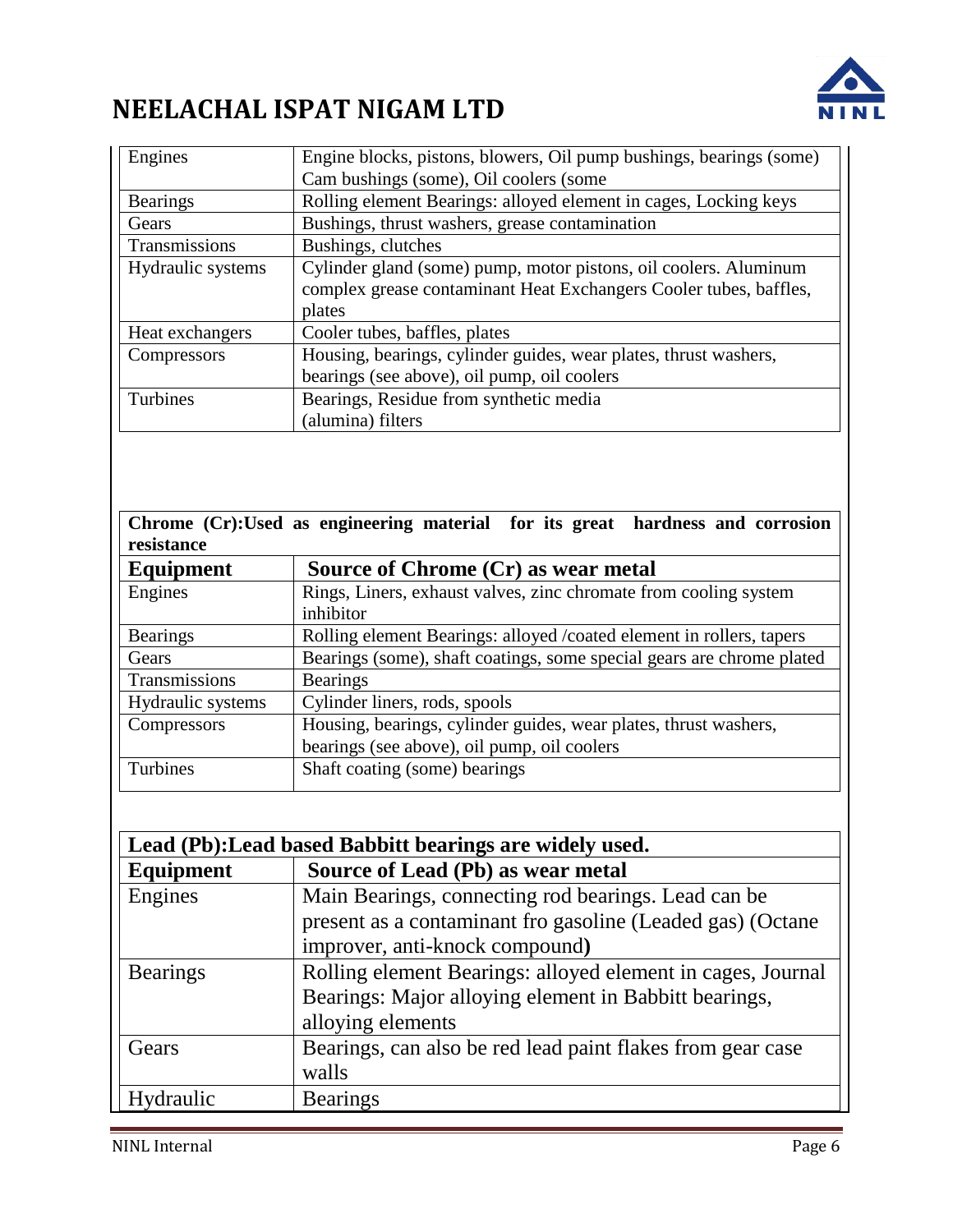

| Engines           | Engine blocks, pistons, blowers, Oil pump bushings, bearings (some) |  |  |  |
|-------------------|---------------------------------------------------------------------|--|--|--|
|                   | Cam bushings (some), Oil coolers (some                              |  |  |  |
| <b>Bearings</b>   | Rolling element Bearings: alloyed element in cages, Locking keys    |  |  |  |
| Gears             | Bushings, thrust washers, grease contamination                      |  |  |  |
| Transmissions     | Bushings, clutches                                                  |  |  |  |
| Hydraulic systems | Cylinder gland (some) pump, motor pistons, oil coolers. Aluminum    |  |  |  |
|                   | complex grease contaminant Heat Exchangers Cooler tubes, baffles,   |  |  |  |
|                   | plates                                                              |  |  |  |
| Heat exchangers   | Cooler tubes, baffles, plates                                       |  |  |  |
| Compressors       | Housing, bearings, cylinder guides, wear plates, thrust washers,    |  |  |  |
|                   | bearings (see above), oil pump, oil coolers                         |  |  |  |
| Turbines          | Bearings, Residue from synthetic media                              |  |  |  |
|                   | (alumina) filters                                                   |  |  |  |

**Chrome (Cr):Used as engineering material for its great hardness and corrosion resistance**

| <b>Equipment</b>  | Source of Chrome (Cr) as wear metal                                   |  |  |  |
|-------------------|-----------------------------------------------------------------------|--|--|--|
| Engines           | Rings, Liners, exhaust valves, zinc chromate from cooling system      |  |  |  |
|                   | inhibitor                                                             |  |  |  |
| <b>Bearings</b>   | Rolling element Bearings: alloyed /coated element in rollers, tapers  |  |  |  |
| Gears             | Bearings (some), shaft coatings, some special gears are chrome plated |  |  |  |
| Transmissions     | <b>Bearings</b>                                                       |  |  |  |
| Hydraulic systems | Cylinder liners, rods, spools                                         |  |  |  |
| Compressors       | Housing, bearings, cylinder guides, wear plates, thrust washers,      |  |  |  |
|                   | bearings (see above), oil pump, oil coolers                           |  |  |  |
| Turbines          | Shaft coating (some) bearings                                         |  |  |  |
|                   |                                                                       |  |  |  |

| Lead (Pb): Lead based Babbitt bearings are widely used. |                                                             |  |  |  |
|---------------------------------------------------------|-------------------------------------------------------------|--|--|--|
| <b>Equipment</b>                                        | Source of Lead (Pb) as wear metal                           |  |  |  |
| Engines                                                 | Main Bearings, connecting rod bearings. Lead can be         |  |  |  |
|                                                         | present as a contaminant fro gasoline (Leaded gas) (Octane  |  |  |  |
|                                                         | improver, anti-knock compound)                              |  |  |  |
| <b>Bearings</b>                                         | Rolling element Bearings: alloyed element in cages, Journal |  |  |  |
|                                                         | Bearings: Major alloying element in Babbitt bearings,       |  |  |  |
|                                                         | alloying elements                                           |  |  |  |
| Gears                                                   | Bearings, can also be red lead paint flakes from gear case  |  |  |  |
|                                                         | walls                                                       |  |  |  |
| Hydraulic                                               | <b>Bearings</b>                                             |  |  |  |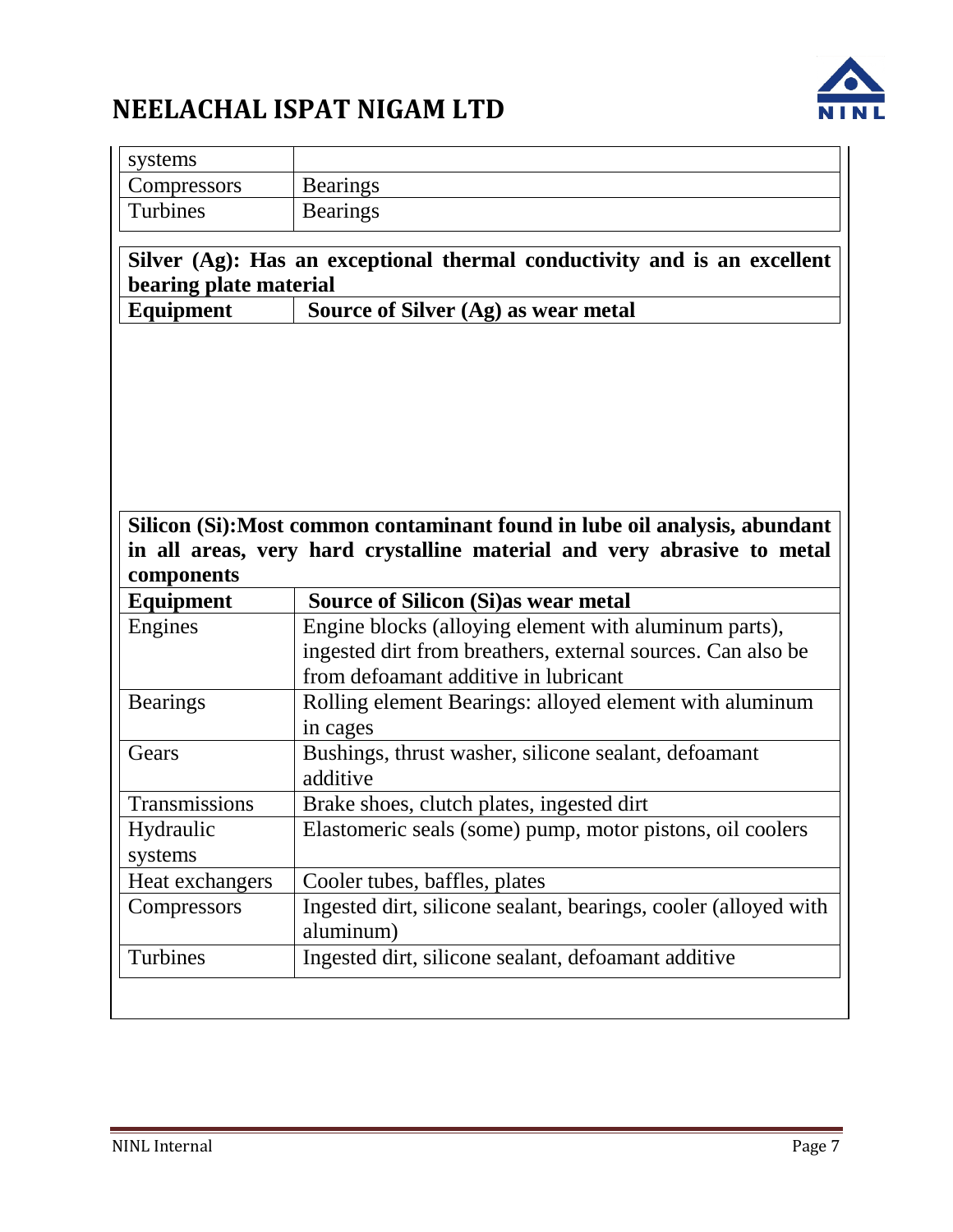

| systems                        |                                                                                                                      |  |  |
|--------------------------------|----------------------------------------------------------------------------------------------------------------------|--|--|
| Compressors                    | <b>Bearings</b>                                                                                                      |  |  |
| Turbines                       | <b>Bearings</b>                                                                                                      |  |  |
| bearing plate material         | Silver (Ag): Has an exceptional thermal conductivity and is an excellent                                             |  |  |
| <b>Equipment</b>               | Source of Silver (Ag) as wear metal                                                                                  |  |  |
|                                | Silicon (Si): Most common contaminant found in lube oil analysis, abundant                                           |  |  |
|                                | in all areas, very hard crystalline material and very abrasive to metal                                              |  |  |
|                                |                                                                                                                      |  |  |
| components<br>Equipment        | <b>Source of Silicon (Si) as wear metal</b>                                                                          |  |  |
| Engines                        | Engine blocks (alloying element with aluminum parts),<br>ingested dirt from breathers, external sources. Can also be |  |  |
| <b>Bearings</b>                | from defoamant additive in lubricant<br>Rolling element Bearings: alloyed element with aluminum<br>in cages          |  |  |
| Gears                          | Bushings, thrust washer, silicone sealant, defoamant<br>additive                                                     |  |  |
| Transmissions                  | Brake shoes, clutch plates, ingested dirt                                                                            |  |  |
| Hydraulic<br>systems           | Elastomeric seals (some) pump, motor pistons, oil coolers                                                            |  |  |
|                                |                                                                                                                      |  |  |
| Heat exchangers<br>Compressors | Cooler tubes, baffles, plates<br>Ingested dirt, silicone sealant, bearings, cooler (alloyed with<br>aluminum)        |  |  |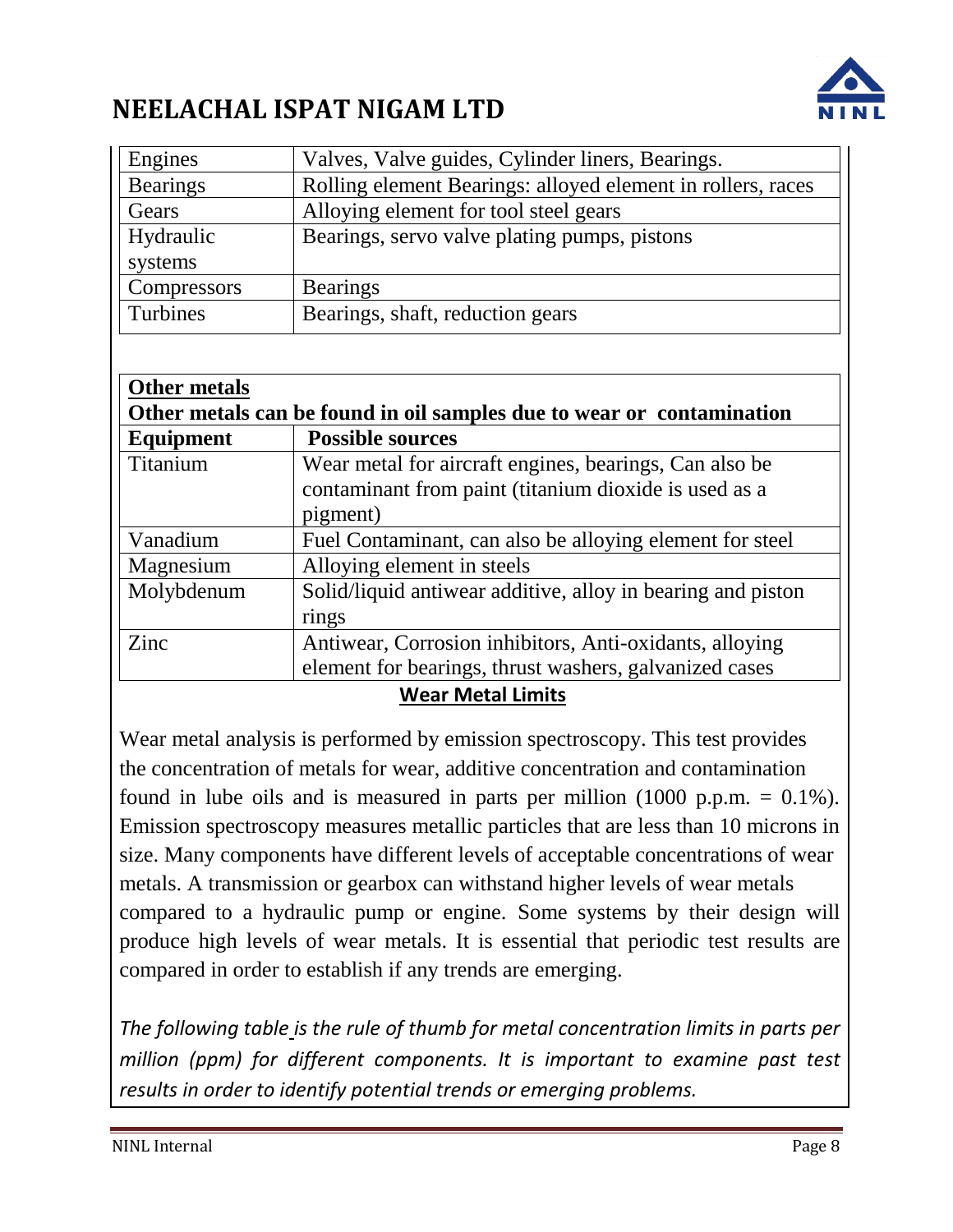

| Engines                              | Valves, Valve guides, Cylinder liners, Bearings.                                       |  |  |
|--------------------------------------|----------------------------------------------------------------------------------------|--|--|
| <b>Bearings</b>                      | Rolling element Bearings: alloyed element in rollers, races                            |  |  |
| Gears                                | Alloying element for tool steel gears                                                  |  |  |
| Hydraulic                            | Bearings, servo valve plating pumps, pistons                                           |  |  |
| systems                              |                                                                                        |  |  |
| Compressors                          | <b>Bearings</b>                                                                        |  |  |
| Turbines                             | Bearings, shaft, reduction gears                                                       |  |  |
|                                      |                                                                                        |  |  |
| <b>Other metals</b>                  |                                                                                        |  |  |
|                                      | Other metals can be found in oil samples due to wear or contamination                  |  |  |
| <b>Possible sources</b><br>Equipment |                                                                                        |  |  |
|                                      |                                                                                        |  |  |
|                                      |                                                                                        |  |  |
| Titanium                             | Wear metal for aircraft engines, bearings, Can also be                                 |  |  |
|                                      | contaminant from paint (titanium dioxide is used as a                                  |  |  |
| Vanadium                             | pigment)                                                                               |  |  |
| Magnesium                            | Fuel Contaminant, can also be alloying element for steel<br>Alloying element in steels |  |  |
| Molybdenum                           | Solid/liquid antiwear additive, alloy in bearing and piston                            |  |  |
|                                      | rings                                                                                  |  |  |
| Zinc                                 | Antiwear, Corrosion inhibitors, Anti-oxidants, alloying                                |  |  |
|                                      | element for bearings, thrust washers, galvanized cases                                 |  |  |

#### **Wear Metal Limits**

Wear metal analysis is performed by emission spectroscopy. This test provides the concentration of metals for wear, additive concentration and contamination found in lube oils and is measured in parts per million  $(1000 \text{ p.p.m.} = 0.1\%)$ . Emission spectroscopy measures metallic particles that are less than 10 microns in size. Many components have different levels of acceptable concentrations of wear metals. A transmission or gearbox can withstand higher levels of wear metals compared to a hydraulic pump or engine. Some systems by their design will produce high levels of wear metals. It is essential that periodic test results are compared in order to establish if any trends are emerging.

*The following table is the rule of thumb for metal concentration limits in parts per*  million (ppm) for different components. It is important to examine past test *results in order to identify potential trends or emerging problems.*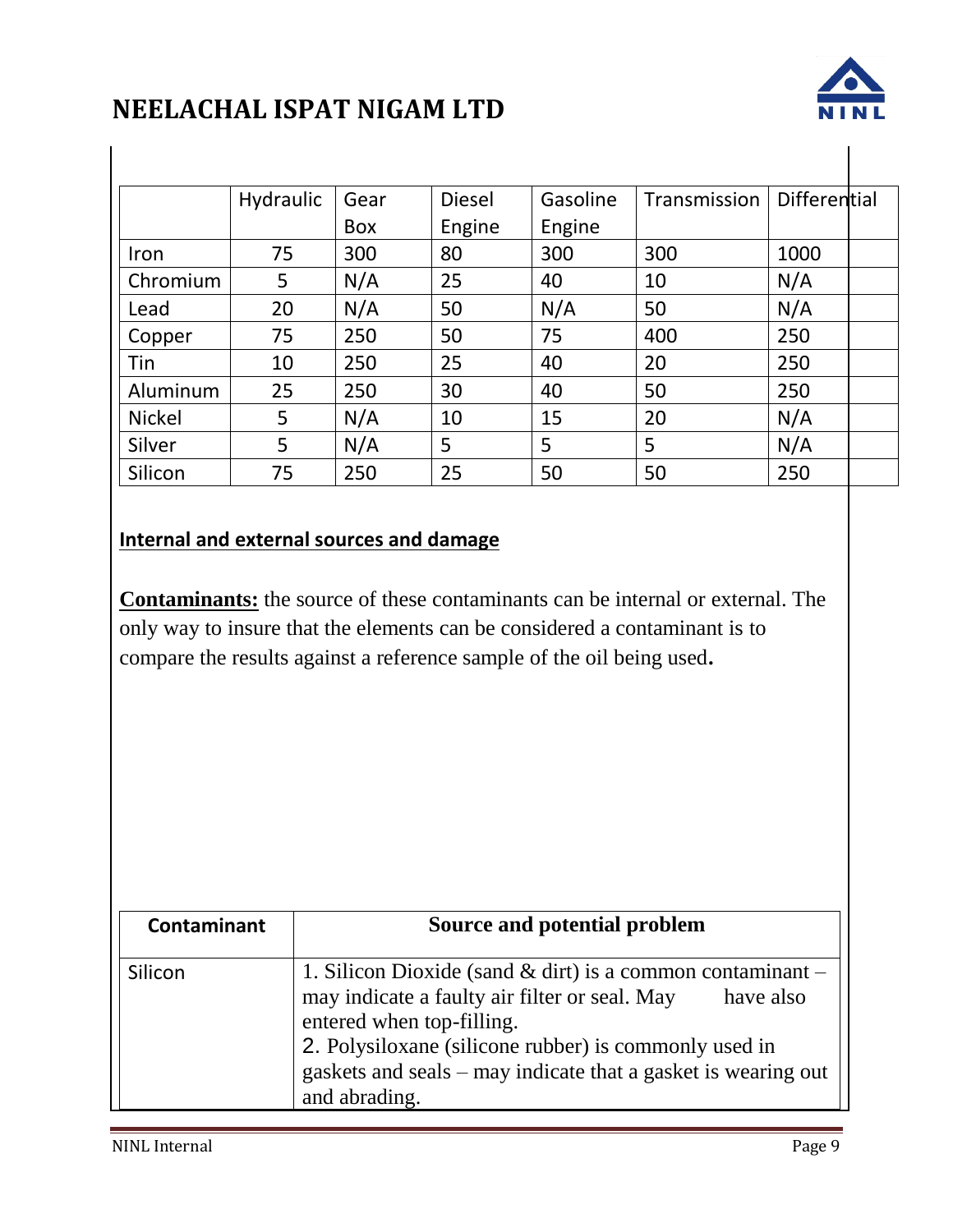

 $\mathbf{I}$ 

|               | Hydraulic | Gear       | <b>Diesel</b> | Gasoline | Transmission | Differential |  |
|---------------|-----------|------------|---------------|----------|--------------|--------------|--|
|               |           | <b>Box</b> | Engine        | Engine   |              |              |  |
| Iron          | 75        | 300        | 80            | 300      | 300          | 1000         |  |
| Chromium      | 5         | N/A        | 25            | 40       | 10           | N/A          |  |
| Lead          | 20        | N/A        | 50            | N/A      | 50           | N/A          |  |
| Copper        | 75        | 250        | 50            | 75       | 400          | 250          |  |
| Tin           | 10        | 250        | 25            | 40       | 20           | 250          |  |
| Aluminum      | 25        | 250        | 30            | 40       | 50           | 250          |  |
| <b>Nickel</b> | 5         | N/A        | 10            | 15       | 20           | N/A          |  |
| Silver        | 5         | N/A        | 5             | 5        | 5            | N/A          |  |
| Silicon       | 75        | 250        | 25            | 50       | 50           | 250          |  |

#### **Internal and external sources and damage**

**Contaminants:** the source of these contaminants can be internal or external. The only way to insure that the elements can be considered a contaminant is to compare the results against a reference sample of the oil being used**.**

| Contaminant | Source and potential problem                                                                                                                                                                                                                                                                        |  |  |  |
|-------------|-----------------------------------------------------------------------------------------------------------------------------------------------------------------------------------------------------------------------------------------------------------------------------------------------------|--|--|--|
| Silicon     | 1. Silicon Dioxide (sand $\&$ dirt) is a common contaminant –<br>may indicate a faulty air filter or seal. May<br>have also<br>entered when top-filling.<br>2. Polysiloxane (silicone rubber) is commonly used in<br>gaskets and seals – may indicate that a gasket is wearing out<br>and abrading. |  |  |  |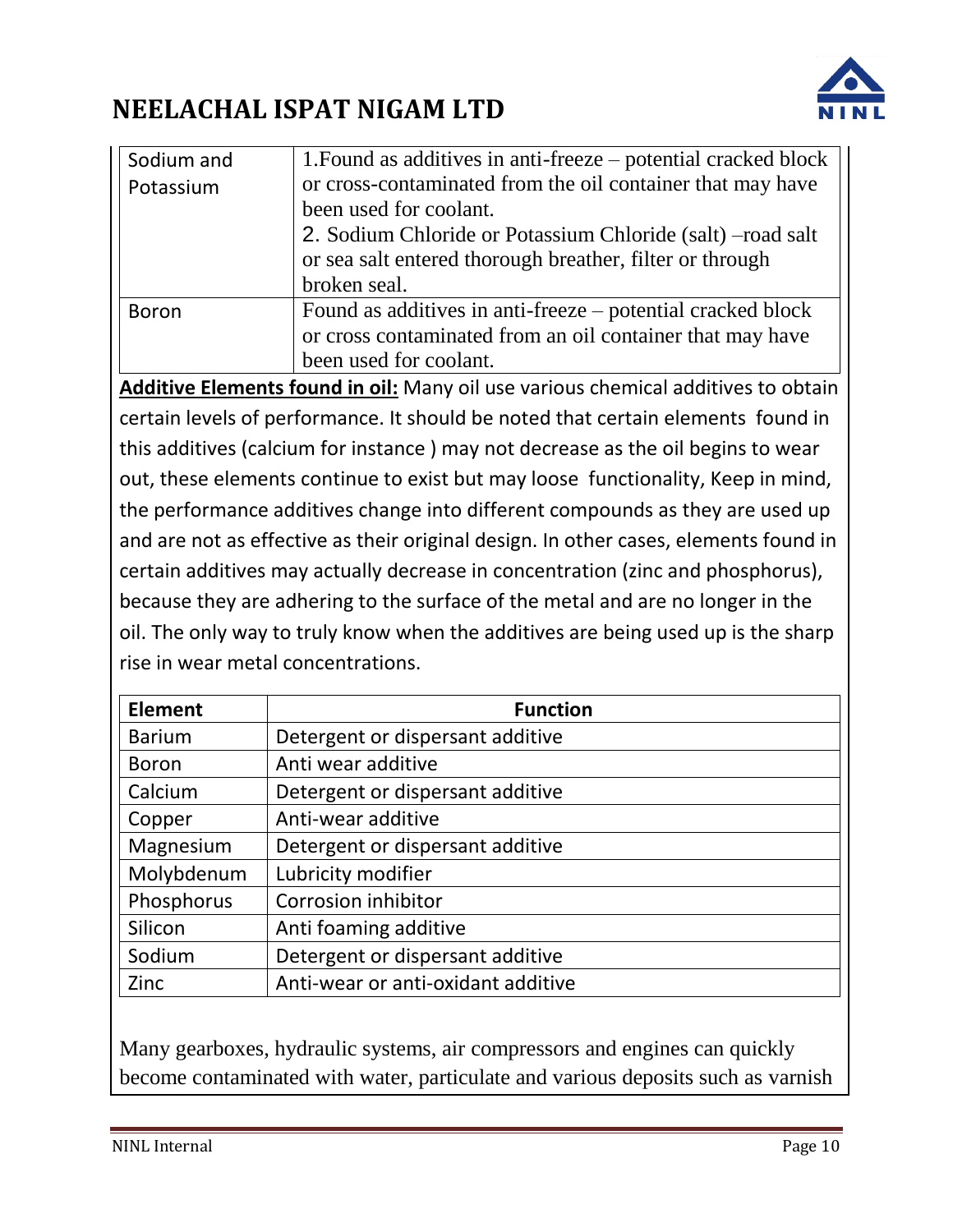

| Sodium and   | 1. Found as additives in anti-freeze – potential cracked block                    |  |  |  |
|--------------|-----------------------------------------------------------------------------------|--|--|--|
| Potassium    | or cross-contaminated from the oil container that may have                        |  |  |  |
|              | been used for coolant.                                                            |  |  |  |
|              | 2. Sodium Chloride or Potassium Chloride (salt) – road salt                       |  |  |  |
|              | or sea salt entered thorough breather, filter or through                          |  |  |  |
|              | broken seal.                                                                      |  |  |  |
| <b>Boron</b> | Found as additives in anti-freeze – potential cracked block                       |  |  |  |
|              | or cross contaminated from an oil container that may have                         |  |  |  |
|              | been used for coolant.                                                            |  |  |  |
|              | Additive Flements found in oil: Many oil use various chemical additives to obtain |  |  |  |

**Additive Elements found in oil:** Many oil use various chemical additives to obtain certain levels of performance. It should be noted that certain elements found in this additives (calcium for instance ) may not decrease as the oil begins to wear out, these elements continue to exist but may loose functionality, Keep in mind, the performance additives change into different compounds as they are used up and are not as effective as their original design. In other cases, elements found in certain additives may actually decrease in concentration (zinc and phosphorus), because they are adhering to the surface of the metal and are no longer in the oil. The only way to truly know when the additives are being used up is the sharp rise in wear metal concentrations.

| <b>Element</b> | <b>Function</b>                    |  |  |  |
|----------------|------------------------------------|--|--|--|
| <b>Barium</b>  | Detergent or dispersant additive   |  |  |  |
| <b>Boron</b>   | Anti wear additive                 |  |  |  |
| Calcium        | Detergent or dispersant additive   |  |  |  |
| Copper         | Anti-wear additive                 |  |  |  |
| Magnesium      | Detergent or dispersant additive   |  |  |  |
| Molybdenum     | Lubricity modifier                 |  |  |  |
| Phosphorus     | Corrosion inhibitor                |  |  |  |
| Silicon        | Anti foaming additive              |  |  |  |
| Sodium         | Detergent or dispersant additive   |  |  |  |
| Zinc           | Anti-wear or anti-oxidant additive |  |  |  |

Many gearboxes, hydraulic systems, air compressors and engines can quickly become contaminated with water, particulate and various deposits such as varnish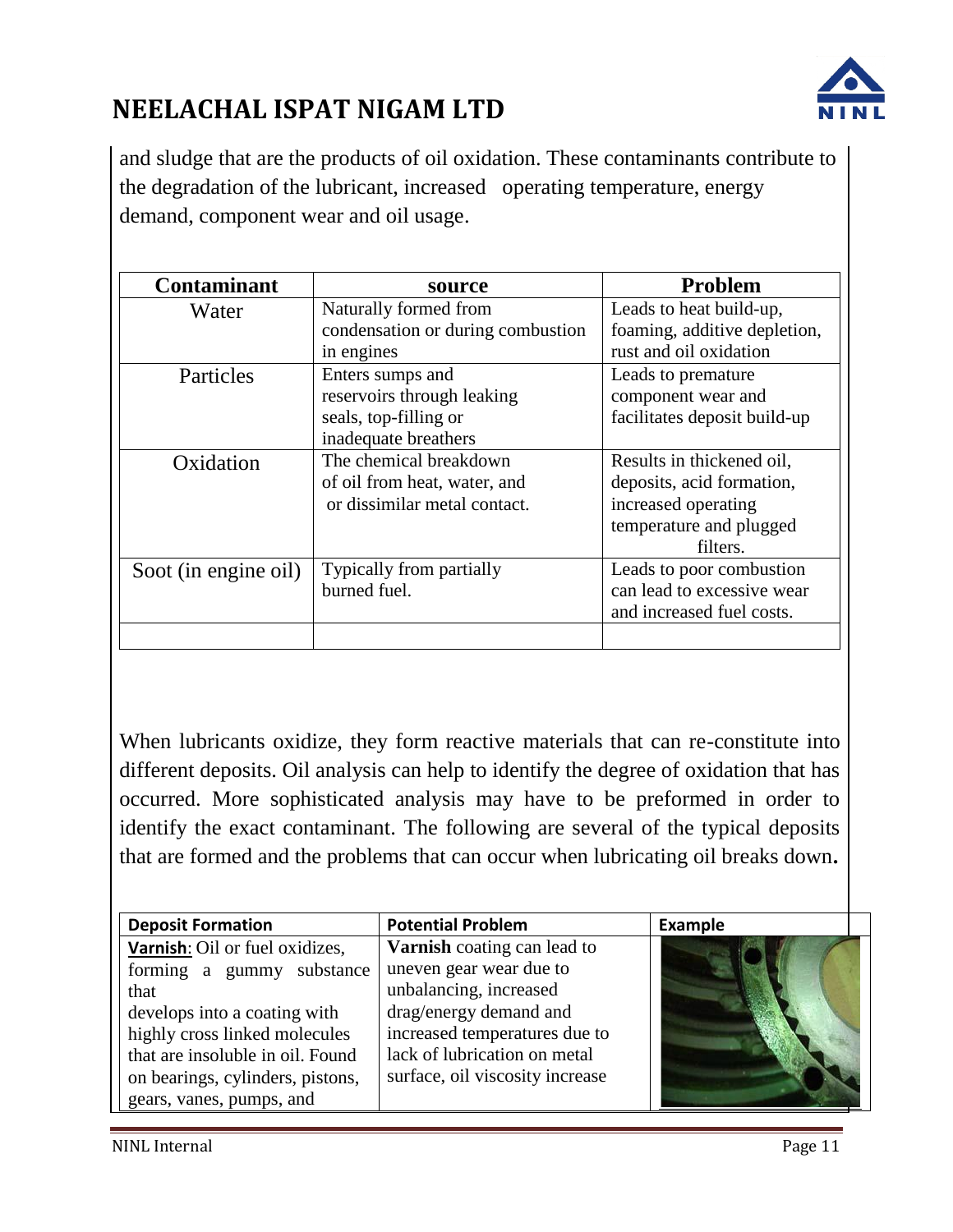

and sludge that are the products of oil oxidation. These contaminants contribute to the degradation of the lubricant, increased operating temperature, energy demand, component wear and oil usage.

| <b>Contaminant</b>                               | source                            | <b>Problem</b>               |  |
|--------------------------------------------------|-----------------------------------|------------------------------|--|
| Water                                            | Naturally formed from             | Leads to heat build-up,      |  |
|                                                  | condensation or during combustion | foaming, additive depletion, |  |
|                                                  | in engines                        | rust and oil oxidation       |  |
| Particles                                        | Enters sumps and                  |                              |  |
|                                                  | reservoirs through leaking        | component wear and           |  |
|                                                  | seals, top-filling or             | facilitates deposit build-up |  |
|                                                  | inadequate breathers              |                              |  |
| The chemical breakdown<br>Oxidation              |                                   | Results in thickened oil,    |  |
|                                                  | of oil from heat, water, and      | deposits, acid formation,    |  |
|                                                  | or dissimilar metal contact.      | increased operating          |  |
|                                                  |                                   | temperature and plugged      |  |
|                                                  |                                   | filters.                     |  |
| Typically from partially<br>Soot (in engine oil) |                                   | Leads to poor combustion     |  |
|                                                  | burned fuel.                      | can lead to excessive wear   |  |
|                                                  |                                   | and increased fuel costs.    |  |
|                                                  |                                   |                              |  |

When lubricants oxidize, they form reactive materials that can re-constitute into different deposits. Oil analysis can help to identify the degree of oxidation that has occurred. More sophisticated analysis may have to be preformed in order to identify the exact contaminant. The following are several of the typical deposits that are formed and the problems that can occur when lubricating oil breaks down**.**

| <b>Deposit Formation</b>         | <b>Potential Problem</b>           | Example |  |
|----------------------------------|------------------------------------|---------|--|
| Varnish: Oil or fuel oxidizes,   | <b>Varnish</b> coating can lead to |         |  |
| forming a gummy substance        | uneven gear wear due to            |         |  |
| that                             | unbalancing, increased             |         |  |
| develops into a coating with     | drag/energy demand and             |         |  |
| highly cross linked molecules    | increased temperatures due to      |         |  |
| that are insoluble in oil. Found | lack of lubrication on metal       |         |  |
| on bearings, cylinders, pistons, | surface, oil viscosity increase    |         |  |
| gears, vanes, pumps, and         |                                    |         |  |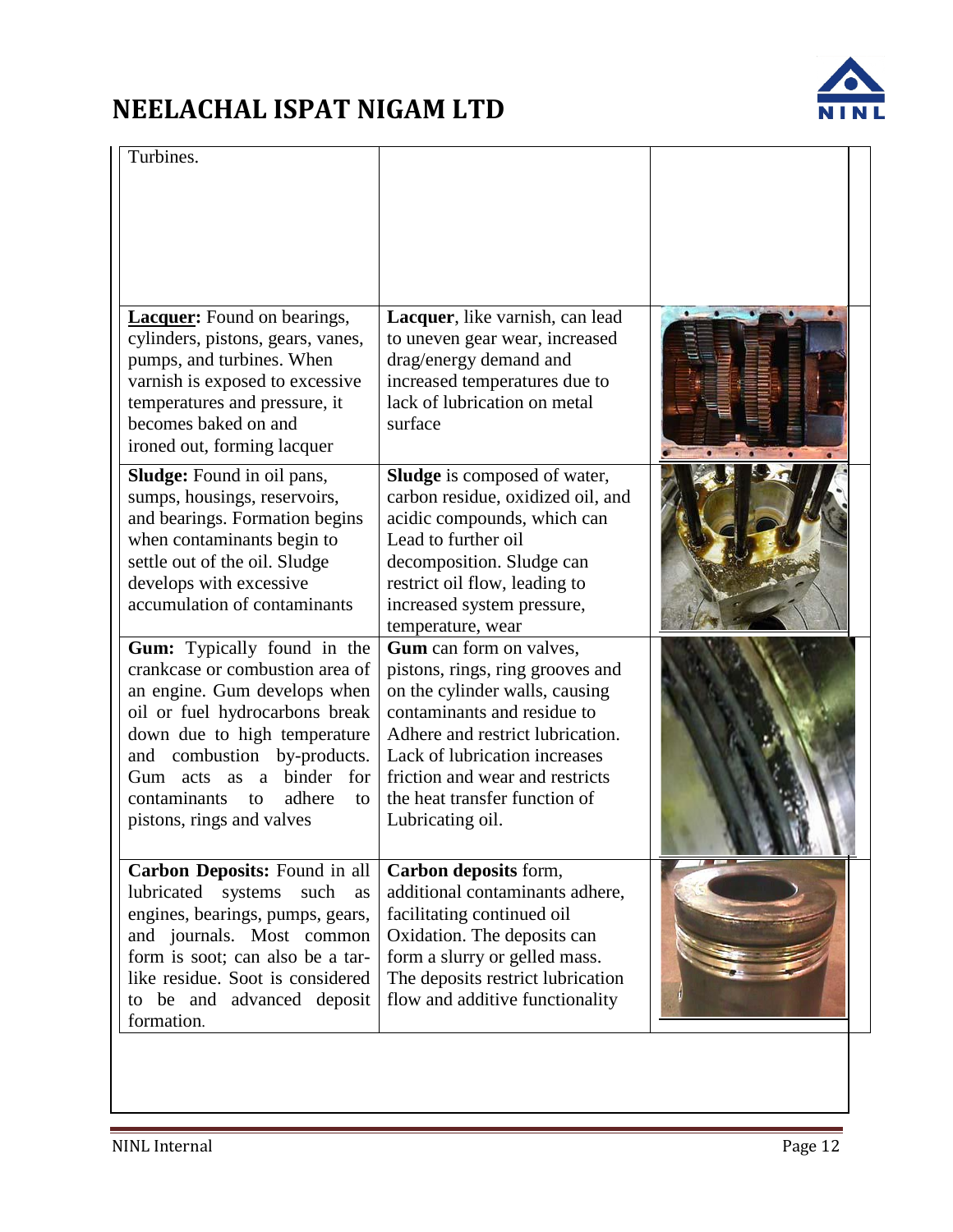

| Turbines.                                                                                                                                                                                                                                                                                                       |                                                                                                                                                                                                                                                                                           |  |
|-----------------------------------------------------------------------------------------------------------------------------------------------------------------------------------------------------------------------------------------------------------------------------------------------------------------|-------------------------------------------------------------------------------------------------------------------------------------------------------------------------------------------------------------------------------------------------------------------------------------------|--|
|                                                                                                                                                                                                                                                                                                                 |                                                                                                                                                                                                                                                                                           |  |
| <b>Lacquer:</b> Found on bearings,<br>cylinders, pistons, gears, vanes,<br>pumps, and turbines. When<br>varnish is exposed to excessive<br>temperatures and pressure, it<br>becomes baked on and<br>ironed out, forming lacquer                                                                                 | Lacquer, like varnish, can lead<br>to uneven gear wear, increased<br>drag/energy demand and<br>increased temperatures due to<br>lack of lubrication on metal<br>surface                                                                                                                   |  |
| <b>Sludge:</b> Found in oil pans,<br>sumps, housings, reservoirs,<br>and bearings. Formation begins<br>when contaminants begin to<br>settle out of the oil. Sludge<br>develops with excessive<br>accumulation of contaminants                                                                                   | <b>Sludge</b> is composed of water,<br>carbon residue, oxidized oil, and<br>acidic compounds, which can<br>Lead to further oil<br>decomposition. Sludge can<br>restrict oil flow, leading to<br>increased system pressure,<br>temperature, wear                                           |  |
| Gum: Typically found in the<br>crankcase or combustion area of<br>an engine. Gum develops when<br>oil or fuel hydrocarbons break<br>down due to high temperature<br>and combustion by-products.<br>binder for<br>Gum acts as<br><sub>a</sub><br>adhere<br>contaminants<br>to<br>to<br>pistons, rings and valves | Gum can form on valves,<br>pistons, rings, ring grooves and<br>on the cylinder walls, causing<br>contaminants and residue to<br>Adhere and restrict lubrication.<br>Lack of lubrication increases<br>friction and wear and restricts<br>the heat transfer function of<br>Lubricating oil. |  |
| Carbon Deposits: Found in all<br>lubricated<br>systems<br>such<br>as<br>engines, bearings, pumps, gears,<br>and journals. Most common<br>form is soot; can also be a tar-<br>like residue. Soot is considered<br>to be and advanced deposit<br>formation.                                                       | Carbon deposits form,<br>additional contaminants adhere,<br>facilitating continued oil<br>Oxidation. The deposits can<br>form a slurry or gelled mass.<br>The deposits restrict lubrication<br>flow and additive functionality                                                            |  |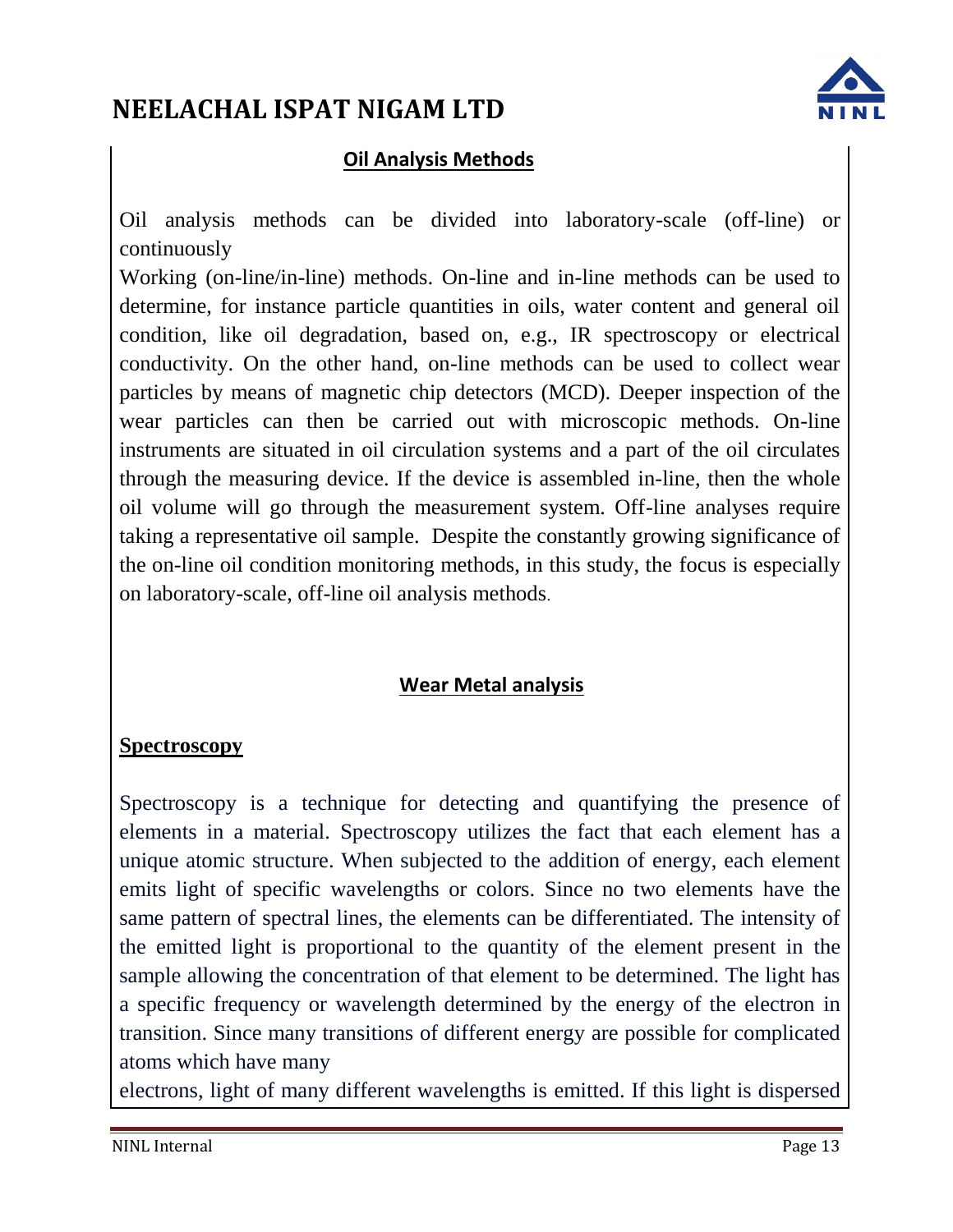

### **Oil Analysis Methods**

Oil analysis methods can be divided into laboratory-scale (off-line) or continuously

Working (on-line/in-line) methods. On-line and in-line methods can be used to determine, for instance particle quantities in oils, water content and general oil condition, like oil degradation, based on, e.g., IR spectroscopy or electrical conductivity. On the other hand, on-line methods can be used to collect wear particles by means of magnetic chip detectors (MCD). Deeper inspection of the wear particles can then be carried out with microscopic methods. On-line instruments are situated in oil circulation systems and a part of the oil circulates through the measuring device. If the device is assembled in-line, then the whole oil volume will go through the measurement system. Off-line analyses require taking a representative oil sample. Despite the constantly growing significance of the on-line oil condition monitoring methods, in this study, the focus is especially on laboratory-scale, off-line oil analysis methods.

### **Wear Metal analysis**

#### **Spectroscopy**

Spectroscopy is a technique for detecting and quantifying the presence of elements in a material. Spectroscopy utilizes the fact that each element has a unique atomic structure. When subjected to the addition of energy, each element emits light of specific wavelengths or colors. Since no two elements have the same pattern of spectral lines, the elements can be differentiated. The intensity of the emitted light is proportional to the quantity of the element present in the sample allowing the concentration of that element to be determined. The light has a specific frequency or wavelength determined by the energy of the electron in transition. Since many transitions of different energy are possible for complicated atoms which have many

electrons, light of many different wavelengths is emitted. If this light is dispersed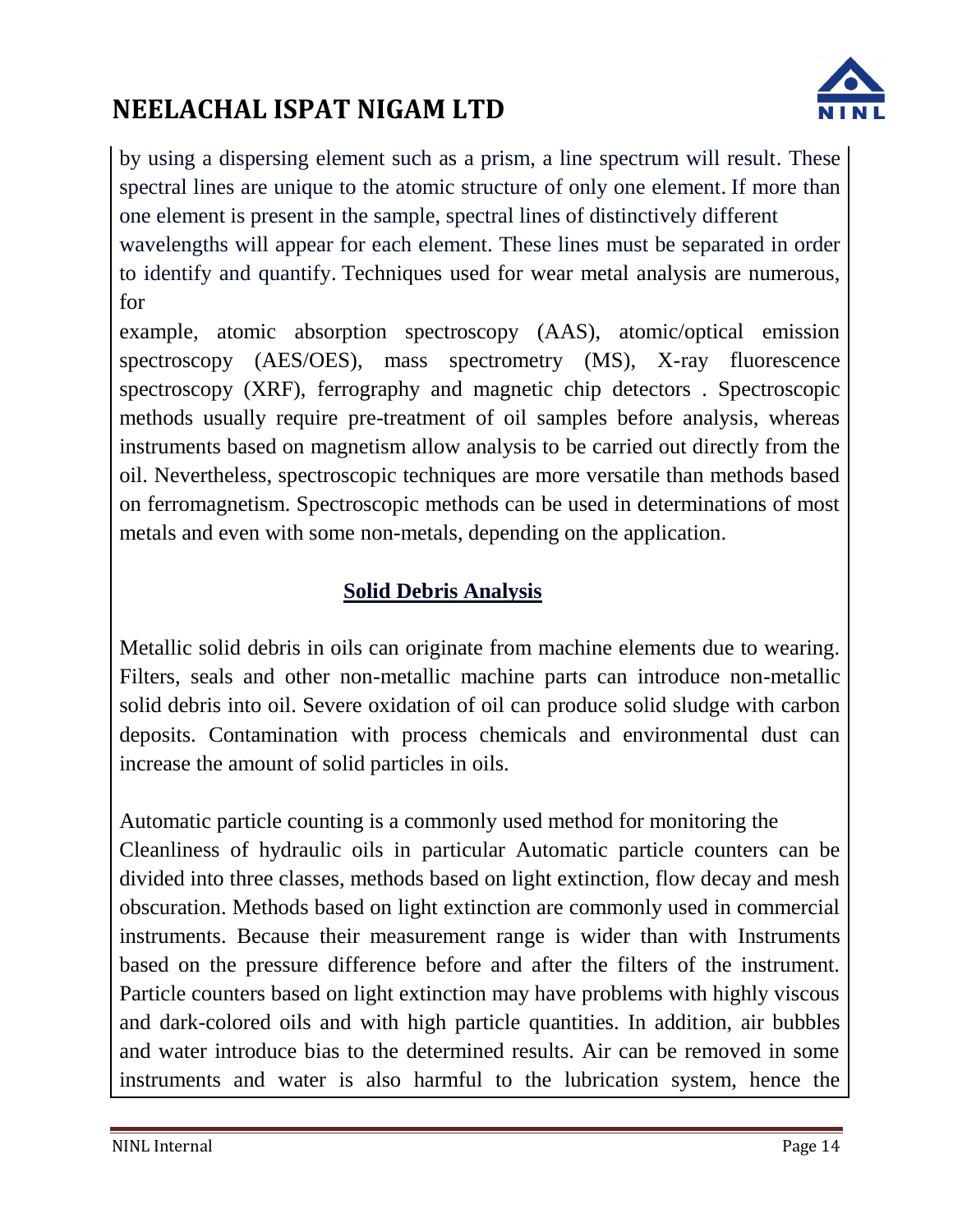

by using a dispersing element such as a prism, a line spectrum will result. These spectral lines are unique to the atomic structure of only one element. If more than one element is present in the sample, spectral lines of distinctively different wavelengths will appear for each element. These lines must be separated in order to identify and quantify. Techniques used for wear metal analysis are numerous, for

example, atomic absorption spectroscopy (AAS), atomic/optical emission spectroscopy (AES/OES), mass spectrometry (MS), X-ray fluorescence spectroscopy (XRF), ferrography and magnetic chip detectors . Spectroscopic methods usually require pre-treatment of oil samples before analysis, whereas instruments based on magnetism allow analysis to be carried out directly from the oil. Nevertheless, spectroscopic techniques are more versatile than methods based on ferromagnetism. Spectroscopic methods can be used in determinations of most metals and even with some non-metals, depending on the application.

### **Solid Debris Analysis**

Metallic solid debris in oils can originate from machine elements due to wearing. Filters, seals and other non-metallic machine parts can introduce non-metallic solid debris into oil. Severe oxidation of oil can produce solid sludge with carbon deposits. Contamination with process chemicals and environmental dust can increase the amount of solid particles in oils.

Automatic particle counting is a commonly used method for monitoring the Cleanliness of hydraulic oils in particular Automatic particle counters can be divided into three classes, methods based on light extinction, flow decay and mesh obscuration. Methods based on light extinction are commonly used in commercial instruments. Because their measurement range is wider than with Instruments based on the pressure difference before and after the filters of the instrument. Particle counters based on light extinction may have problems with highly viscous and dark-colored oils and with high particle quantities. In addition, air bubbles and water introduce bias to the determined results. Air can be removed in some instruments and water is also harmful to the lubrication system, hence the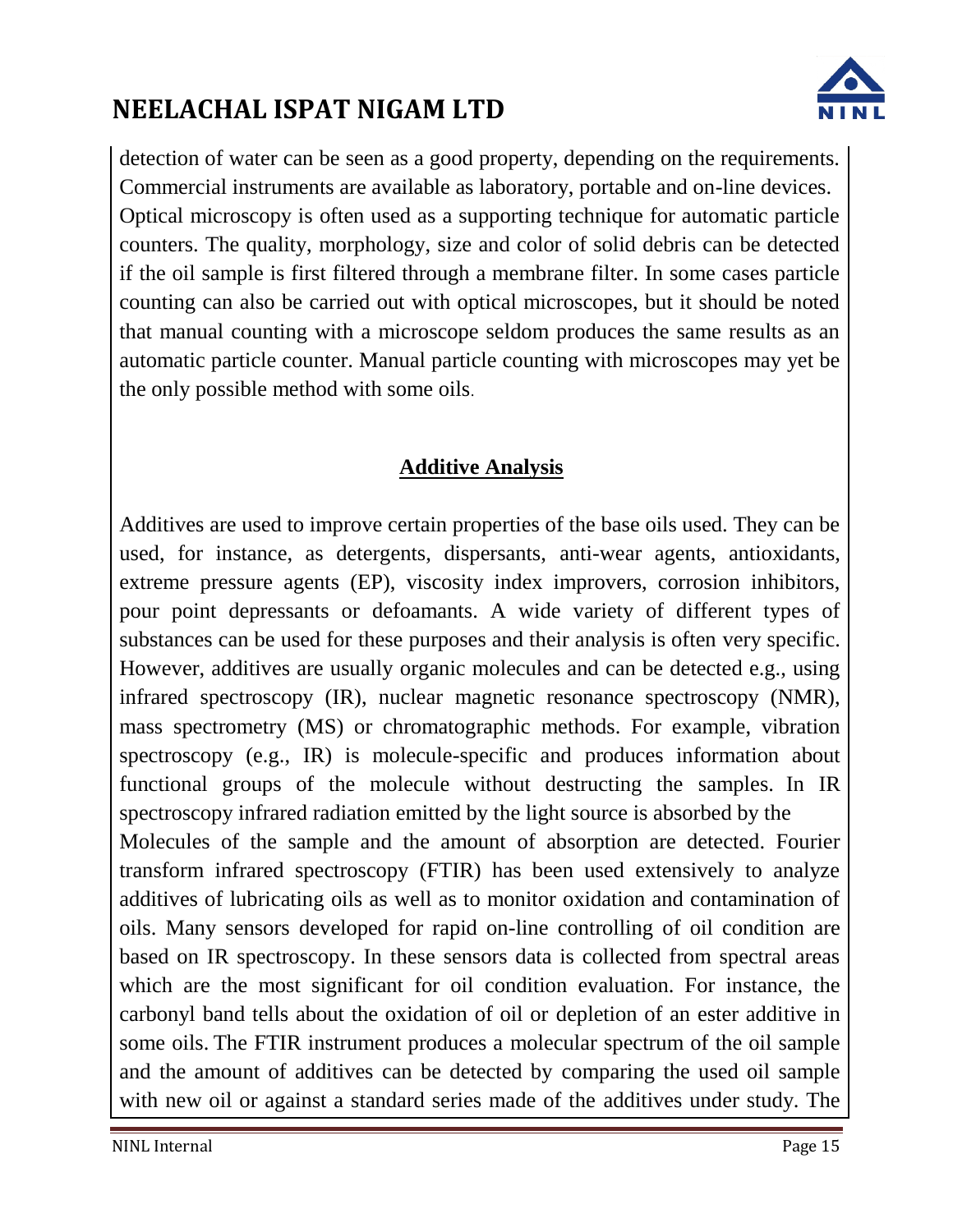

detection of water can be seen as a good property, depending on the requirements. Commercial instruments are available as laboratory, portable and on-line devices. Optical microscopy is often used as a supporting technique for automatic particle counters. The quality, morphology, size and color of solid debris can be detected if the oil sample is first filtered through a membrane filter. In some cases particle counting can also be carried out with optical microscopes, but it should be noted that manual counting with a microscope seldom produces the same results as an automatic particle counter. Manual particle counting with microscopes may yet be the only possible method with some oils.

### **Additive Analysis**

Additives are used to improve certain properties of the base oils used. They can be used, for instance, as detergents, dispersants, anti-wear agents, antioxidants, extreme pressure agents (EP), viscosity index improvers, corrosion inhibitors, pour point depressants or defoamants. A wide variety of different types of substances can be used for these purposes and their analysis is often very specific. However, additives are usually organic molecules and can be detected e.g., using infrared spectroscopy (IR), nuclear magnetic resonance spectroscopy (NMR), mass spectrometry (MS) or chromatographic methods. For example, vibration spectroscopy (e.g., IR) is molecule-specific and produces information about functional groups of the molecule without destructing the samples. In IR spectroscopy infrared radiation emitted by the light source is absorbed by the Molecules of the sample and the amount of absorption are detected. Fourier transform infrared spectroscopy (FTIR) has been used extensively to analyze additives of lubricating oils as well as to monitor oxidation and contamination of oils. Many sensors developed for rapid on-line controlling of oil condition are based on IR spectroscopy. In these sensors data is collected from spectral areas which are the most significant for oil condition evaluation. For instance, the carbonyl band tells about the oxidation of oil or depletion of an ester additive in some oils. The FTIR instrument produces a molecular spectrum of the oil sample and the amount of additives can be detected by comparing the used oil sample with new oil or against a standard series made of the additives under study. The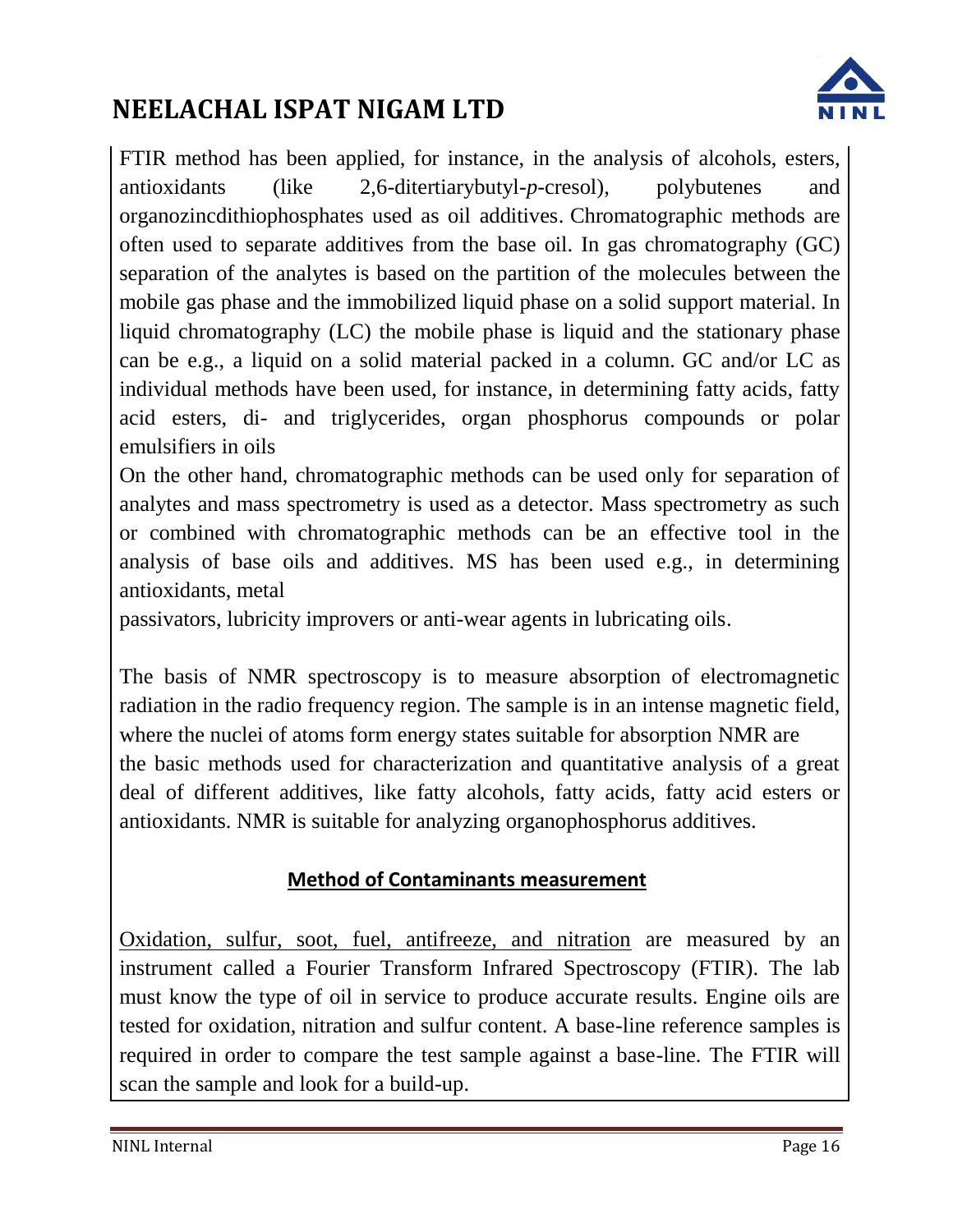

FTIR method has been applied, for instance, in the analysis of alcohols, esters, antioxidants (like 2,6-ditertiarybutyl-*p*-cresol), polybutenes and organozincdithiophosphates used as oil additives. Chromatographic methods are often used to separate additives from the base oil. In gas chromatography (GC) separation of the analytes is based on the partition of the molecules between the mobile gas phase and the immobilized liquid phase on a solid support material. In liquid chromatography (LC) the mobile phase is liquid and the stationary phase can be e.g., a liquid on a solid material packed in a column. GC and/or LC as individual methods have been used, for instance, in determining fatty acids, fatty acid esters, di- and triglycerides, organ phosphorus compounds or polar emulsifiers in oils

On the other hand, chromatographic methods can be used only for separation of analytes and mass spectrometry is used as a detector. Mass spectrometry as such or combined with chromatographic methods can be an effective tool in the analysis of base oils and additives. MS has been used e.g., in determining antioxidants, metal

passivators, lubricity improvers or anti-wear agents in lubricating oils.

The basis of NMR spectroscopy is to measure absorption of electromagnetic radiation in the radio frequency region. The sample is in an intense magnetic field, where the nuclei of atoms form energy states suitable for absorption NMR are the basic methods used for characterization and quantitative analysis of a great deal of different additives, like fatty alcohols, fatty acids, fatty acid esters or antioxidants. NMR is suitable for analyzing organophosphorus additives.

#### **Method of Contaminants measurement**

Oxidation, sulfur, soot, fuel, antifreeze, and nitration are measured by an instrument called a Fourier Transform Infrared Spectroscopy (FTIR). The lab must know the type of oil in service to produce accurate results. Engine oils are tested for oxidation, nitration and sulfur content. A base-line reference samples is required in order to compare the test sample against a base-line. The FTIR will scan the sample and look for a build-up.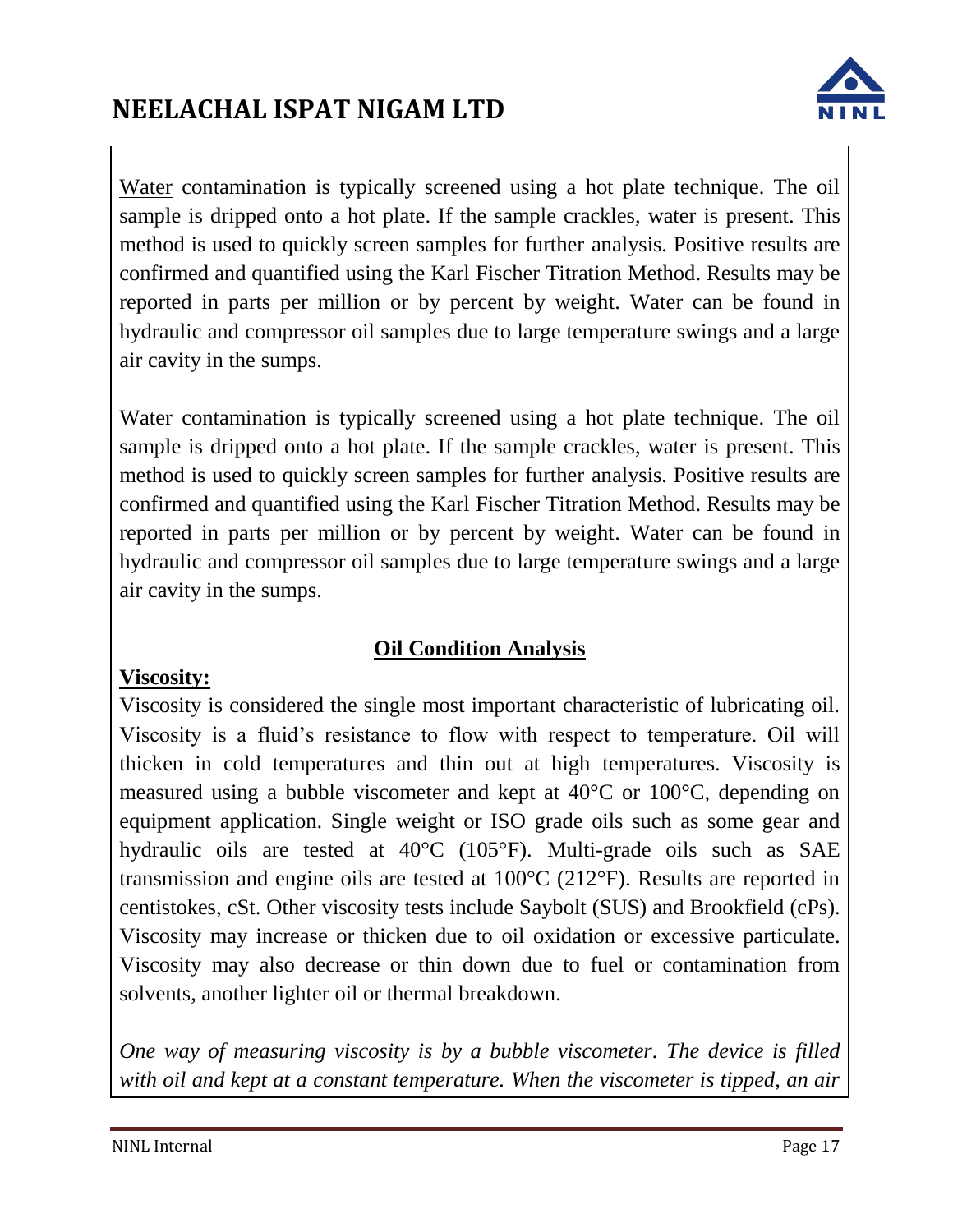

Water contamination is typically screened using a hot plate technique. The oil sample is dripped onto a hot plate. If the sample crackles, water is present. This method is used to quickly screen samples for further analysis. Positive results are confirmed and quantified using the Karl Fischer Titration Method. Results may be reported in parts per million or by percent by weight. Water can be found in hydraulic and compressor oil samples due to large temperature swings and a large air cavity in the sumps.

Water contamination is typically screened using a hot plate technique. The oil sample is dripped onto a hot plate. If the sample crackles, water is present. This method is used to quickly screen samples for further analysis. Positive results are confirmed and quantified using the Karl Fischer Titration Method. Results may be reported in parts per million or by percent by weight. Water can be found in hydraulic and compressor oil samples due to large temperature swings and a large air cavity in the sumps.

### **Oil Condition Analysis**

#### **Viscosity:**

Viscosity is considered the single most important characteristic of lubricating oil. Viscosity is a fluid's resistance to flow with respect to temperature. Oil will thicken in cold temperatures and thin out at high temperatures. Viscosity is measured using a bubble viscometer and kept at 40°C or 100°C, depending on equipment application. Single weight or ISO grade oils such as some gear and hydraulic oils are tested at 40°C (105°F). Multi-grade oils such as SAE transmission and engine oils are tested at 100°C (212°F). Results are reported in centistokes, cSt. Other viscosity tests include Saybolt (SUS) and Brookfield (cPs). Viscosity may increase or thicken due to oil oxidation or excessive particulate. Viscosity may also decrease or thin down due to fuel or contamination from solvents, another lighter oil or thermal breakdown.

*One way of measuring viscosity is by a bubble viscometer. The device is filled with oil and kept at a constant temperature. When the viscometer is tipped, an air*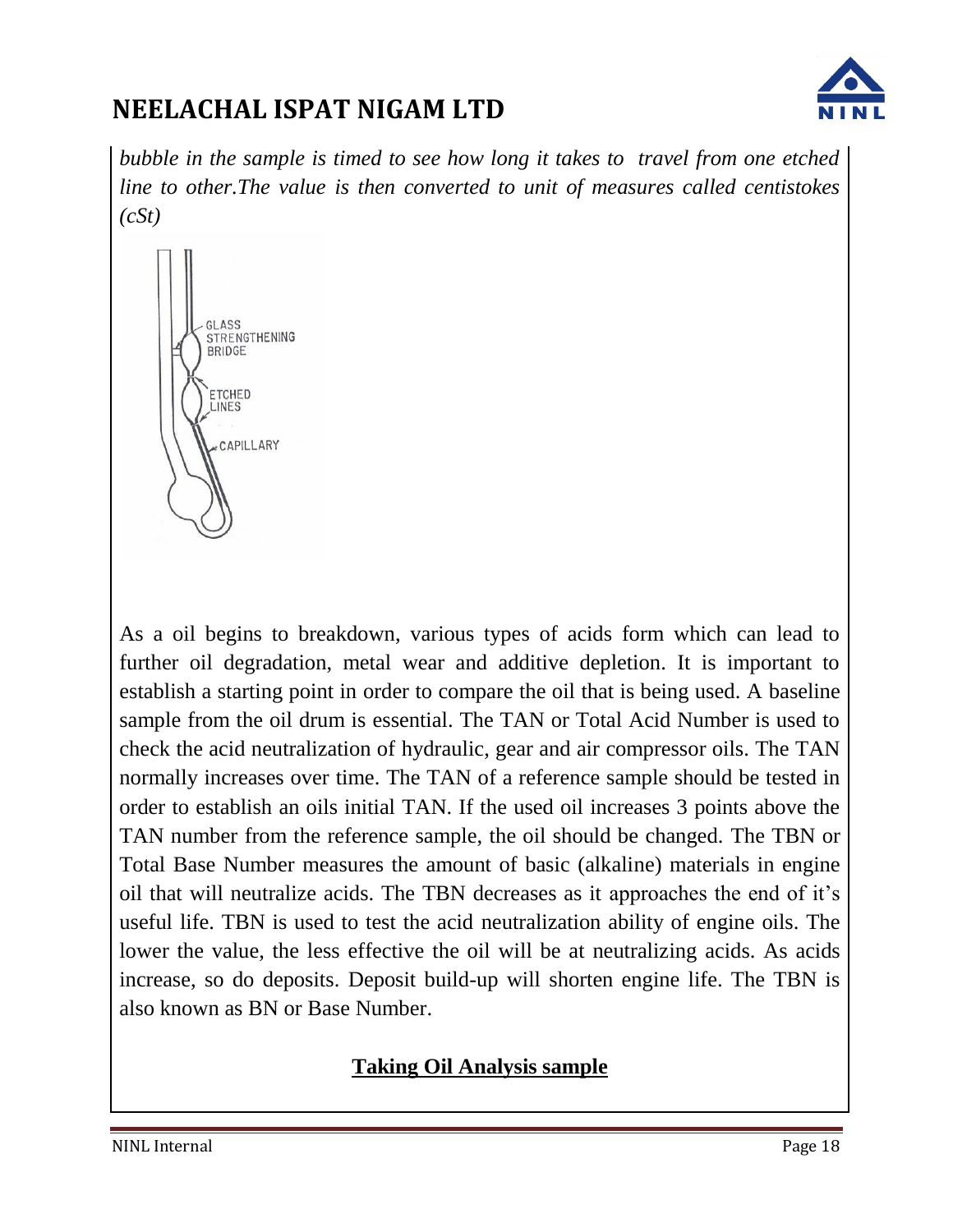

*bubble in the sample is timed to see how long it takes to travel from one etched line to other.The value is then converted to unit of measures called centistokes (cSt)*



As a oil begins to breakdown, various types of acids form which can lead to further oil degradation, metal wear and additive depletion. It is important to establish a starting point in order to compare the oil that is being used. A baseline sample from the oil drum is essential. The TAN or Total Acid Number is used to check the acid neutralization of hydraulic, gear and air compressor oils. The TAN normally increases over time. The TAN of a reference sample should be tested in order to establish an oils initial TAN. If the used oil increases 3 points above the TAN number from the reference sample, the oil should be changed. The TBN or Total Base Number measures the amount of basic (alkaline) materials in engine oil that will neutralize acids. The TBN decreases as it approaches the end of it's useful life. TBN is used to test the acid neutralization ability of engine oils. The lower the value, the less effective the oil will be at neutralizing acids. As acids increase, so do deposits. Deposit build-up will shorten engine life. The TBN is also known as BN or Base Number.

#### **Taking Oil Analysis sample**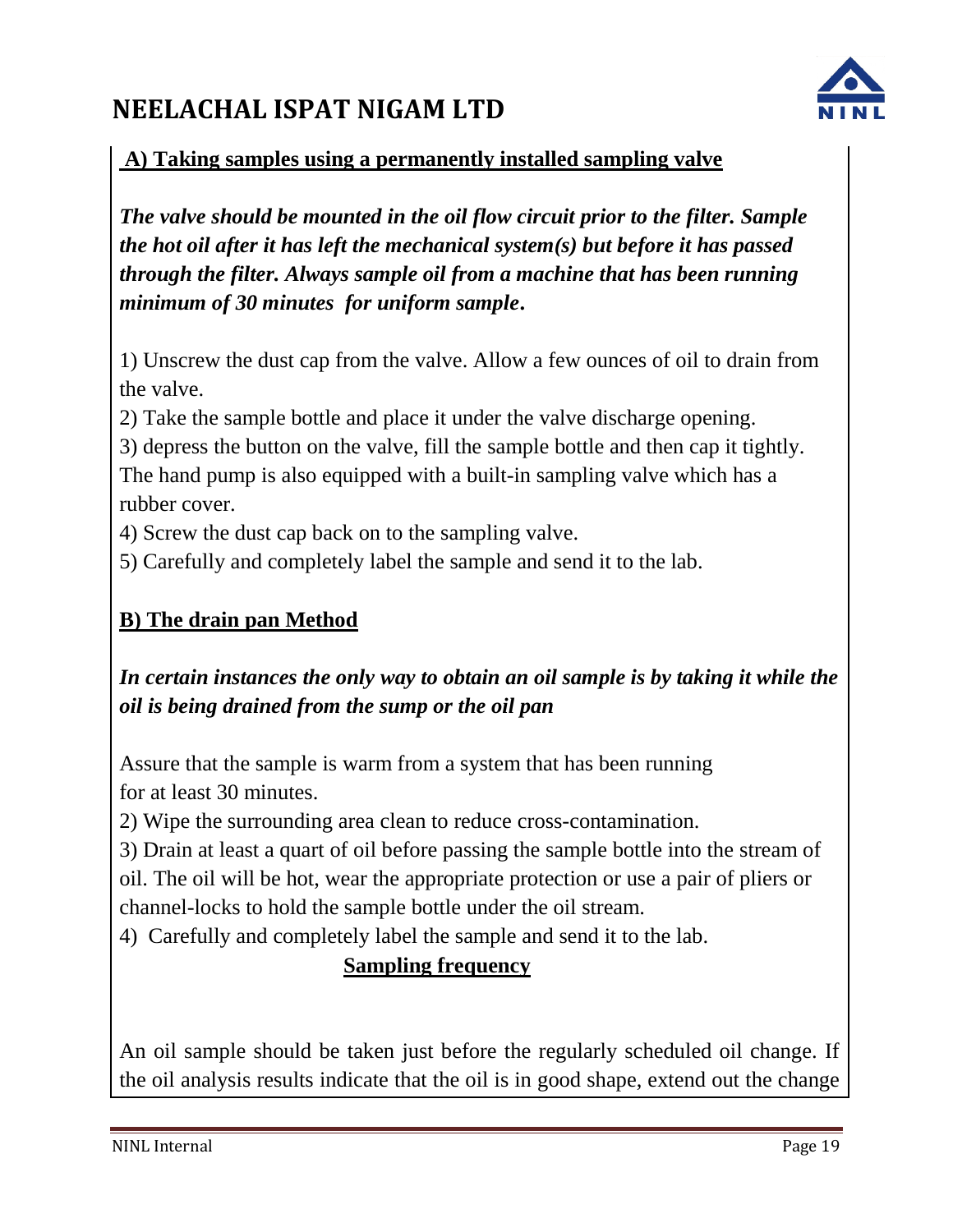

#### **A) Taking samples using a permanently installed sampling valve**

*The valve should be mounted in the oil flow circuit prior to the filter. Sample the hot oil after it has left the mechanical system(s) but before it has passed through the filter. Always sample oil from a machine that has been running minimum of 30 minutes for uniform sample***.**

1) Unscrew the dust cap from the valve. Allow a few ounces of oil to drain from the valve.

2) Take the sample bottle and place it under the valve discharge opening.

3) depress the button on the valve, fill the sample bottle and then cap it tightly.

The hand pump is also equipped with a built-in sampling valve which has a rubber cover.

4) Screw the dust cap back on to the sampling valve.

5) Carefully and completely label the sample and send it to the lab.

### **B) The drain pan Method**

### *In certain instances the only way to obtain an oil sample is by taking it while the oil is being drained from the sump or the oil pan*

Assure that the sample is warm from a system that has been running for at least 30 minutes.

2) Wipe the surrounding area clean to reduce cross-contamination.

3) Drain at least a quart of oil before passing the sample bottle into the stream of oil. The oil will be hot, wear the appropriate protection or use a pair of pliers or channel-locks to hold the sample bottle under the oil stream.

4) Carefully and completely label the sample and send it to the lab.

### **Sampling frequency**

An oil sample should be taken just before the regularly scheduled oil change. If the oil analysis results indicate that the oil is in good shape, extend out the change